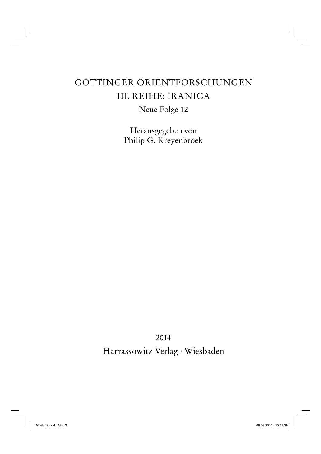## GÖTTINGER ORIENTFORSCHUNGEN III. REIHE: IRANICA

Neue Folge 12

Herausgegeben von Philip G. Kreyenbroek

2014 Harrassowitz Verlag · Wiesbaden

 $\mathbb{L}^{\perp}$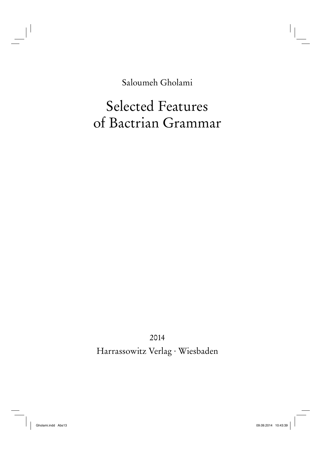Saloumeh Gholami

# Selected Features of Bactrian Grammar

2014 Harrassowitz Verlag · Wiesbaden

 $\mathbf{L}$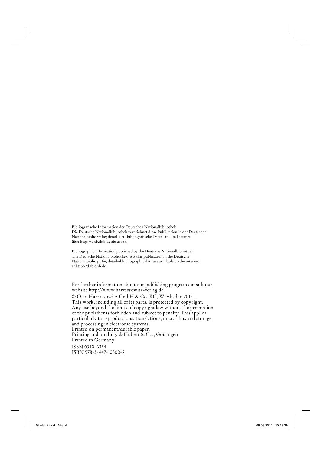Bibliografi sche Information der Deutschen Nationalbibliothek Die Deutsche Nationalbibliothek verzeichnet diese Publikation in der Deutschen Nationalbibliografie; detaillierte bibliografische Daten sind im Internet über http://dnb.dnb.de abrufbar.

Bibliographic information published by the Deutsche Nationalbibliothek The Deutsche Nationalbibliothek lists this publication in the Deutsche Nationalbibliografie; detailed bibliographic data are available on the internet at http://dnb.dnb.de.

For further information about our publishing program consult our website http://www.harrassowitz-verlag.de

© Otto Harrassowitz GmbH & Co. KG, Wiesbaden 2014 This work, including all of its parts, is protected by copyright. Any use beyond the limits of copyright law without the permission of the publisher is forbidden and subject to penalty. This applies particularly to reproductions, translations, microfilms and storage and processing in electronic systems. Printed on permanent/durable paper. Printing and binding:  $\circledast$  Hubert & Co., Göttingen Printed in Germany ISSN 0340-6334 ISBN 978-3-447-10300-8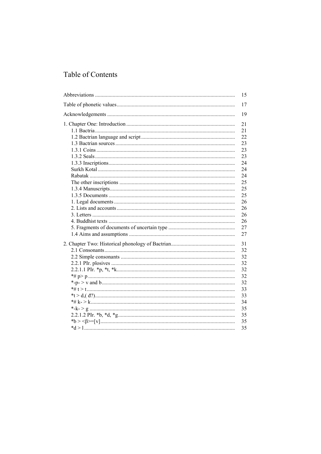| 15 |
|----|
| 17 |
| 19 |
| 21 |
| 21 |
| 22 |
| 23 |
| 23 |
| 23 |
| 24 |
| 24 |
| 24 |
| 25 |
| 25 |
| 25 |
| 26 |
| 26 |
| 26 |
| 26 |
| 27 |
| 27 |
|    |
| 31 |
| 32 |
| 32 |
| 32 |
| 32 |
| 32 |
| 32 |
| 33 |
| 33 |
| 34 |
| 35 |
| 35 |
| 35 |
| 35 |
|    |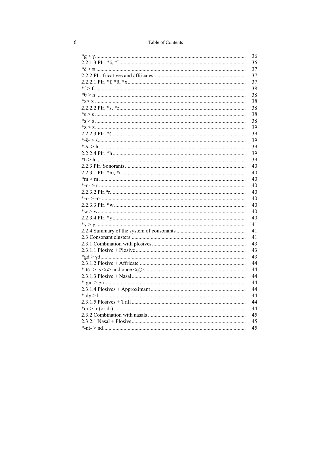| Table of Contents |  |  |
|-------------------|--|--|
|-------------------|--|--|

| 36 |
|----|
| 36 |
| 37 |
| 37 |
| 37 |
| 38 |
| 38 |
| 38 |
| 38 |
| 38 |
| 38 |
| 39 |
| 39 |
| 39 |
| 39 |
| 39 |
| 39 |
| 40 |
| 40 |
| 40 |
| 40 |
| 40 |
| 40 |
| 40 |
| 40 |
| 40 |
| 41 |
| 41 |
| 41 |
| 43 |
| 43 |
| 43 |
| 44 |
| 44 |
| 44 |
| 44 |
| 44 |
| 44 |
| 44 |
| 44 |
| 45 |
| 45 |
| 45 |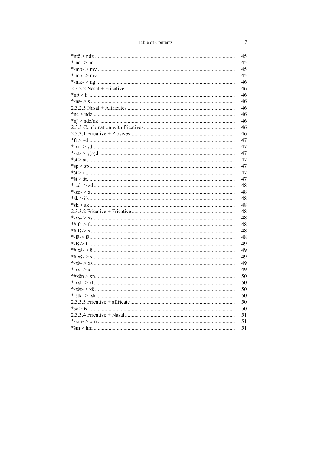| $*# x \s > \s $ |
|-----------------|
|                 |
|                 |
|                 |
|                 |
|                 |
|                 |
|                 |
|                 |
|                 |
|                 |
|                 |
|                 |
|                 |

## $\overline{7}$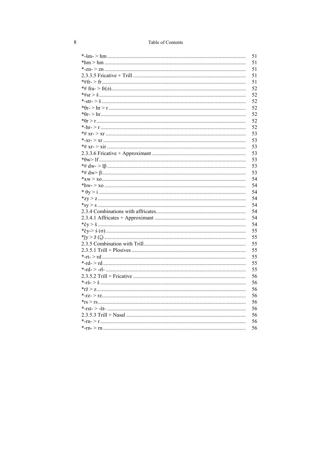| Table of Contents |  |  |
|-------------------|--|--|
|-------------------|--|--|

|                                                | 51 |
|------------------------------------------------|----|
|                                                | 51 |
|                                                | 51 |
|                                                | 51 |
|                                                | 51 |
|                                                | 52 |
|                                                | 52 |
|                                                | 52 |
|                                                | 52 |
|                                                | 52 |
|                                                | 52 |
|                                                | 52 |
|                                                | 53 |
|                                                | 53 |
|                                                | 53 |
|                                                | 53 |
|                                                | 53 |
|                                                | 53 |
|                                                | 53 |
|                                                | 54 |
|                                                | 54 |
|                                                | 54 |
|                                                | 54 |
|                                                | 54 |
|                                                | 54 |
|                                                | 54 |
|                                                | 54 |
|                                                | 55 |
| *jy > ž (ζ) ………………………………………………………………………………………  | 55 |
|                                                | 55 |
|                                                | 55 |
|                                                | 55 |
|                                                | 55 |
| *-rd- > -rl- ……………………………………………………………………………………… | 55 |
|                                                | 56 |
|                                                | 56 |
|                                                | 56 |
|                                                | 56 |
|                                                | 56 |
|                                                | 56 |
|                                                | 56 |
|                                                | 56 |
|                                                | 56 |
|                                                |    |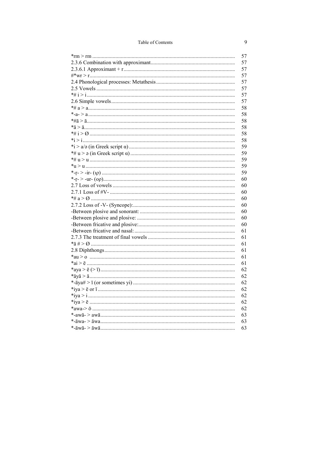| 57 |
|----|
| 57 |
| 57 |
| 57 |
| 57 |
| 57 |
| 57 |
| 57 |
| 58 |
| 58 |
| 58 |
| 58 |
| 58 |
| 58 |
| 59 |
| 59 |
| 59 |
| 59 |
| 59 |
| 60 |
| 60 |
| 60 |
| 60 |
| 60 |
| 60 |
| 60 |
| 60 |
| 61 |
| 61 |
| 61 |
| 61 |
| 61 |
| 61 |
| 62 |
| 62 |
| 62 |
| 62 |
| 62 |
| 62 |
| 62 |
| 63 |
| 63 |
| 63 |
|    |

## $\overline{9}$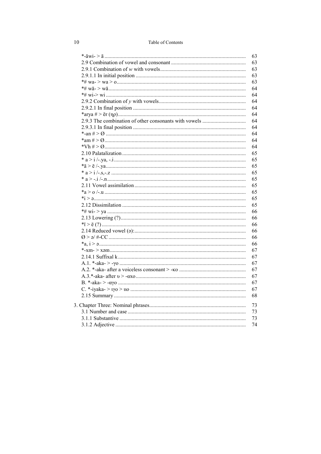| Table of Contents |  |
|-------------------|--|
|-------------------|--|

| 63 |
|----|
| 63 |
| 63 |
| 63 |
| 63 |
| 64 |
| 64 |
| 64 |
| 64 |
|    |
| 64 |
| 64 |
| 64 |
| 64 |
| 64 |
| 64 |
| 65 |
| 65 |
| 65 |
| 65 |
| 65 |
| 65 |
| 65 |
| 65 |
| 65 |
| 66 |
| 66 |
| 66 |
| 66 |
| 66 |
| 66 |
| 67 |
| 67 |
| 67 |
| 67 |
| 67 |
| 67 |
|    |
| 67 |
| 68 |
| 73 |
| 73 |
| 73 |
| 74 |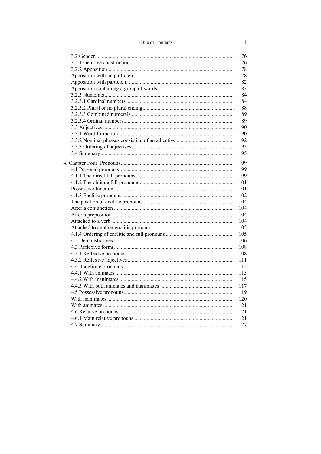| 76  |
|-----|
| 76  |
| 78  |
| 78  |
| 82  |
| 83  |
| 84  |
| 84  |
| 88  |
| 89  |
| 89  |
| 90  |
| 90  |
| 92  |
| 93  |
| 95  |
|     |
| 99  |
| 99  |
| 99  |
| 101 |
| 101 |
| 102 |
| 104 |
| 104 |
| 104 |
| 104 |
| 105 |
| 105 |
| 106 |
| 108 |
| 108 |
| 111 |
| 112 |
| 113 |
| 115 |
| 117 |
| 119 |
| 120 |
| 121 |
| 121 |
| 121 |
| 127 |
|     |

 $11\,$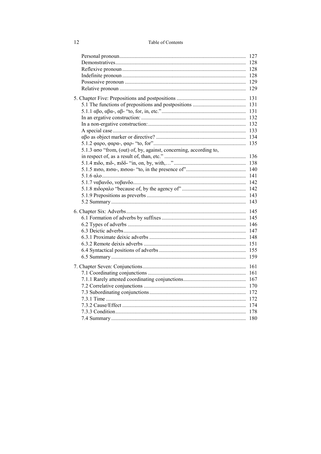| 5.1.3 $\alpha$ oo "from, (out) of, by, against, concerning, according to, |     |
|---------------------------------------------------------------------------|-----|
|                                                                           |     |
|                                                                           |     |
|                                                                           |     |
|                                                                           |     |
|                                                                           |     |
|                                                                           |     |
|                                                                           |     |
|                                                                           |     |
|                                                                           |     |
|                                                                           |     |
|                                                                           |     |
|                                                                           |     |
|                                                                           |     |
|                                                                           |     |
|                                                                           |     |
|                                                                           |     |
|                                                                           |     |
|                                                                           | 161 |
|                                                                           |     |
|                                                                           |     |
|                                                                           |     |
|                                                                           |     |
|                                                                           |     |
|                                                                           |     |
|                                                                           |     |

 $12$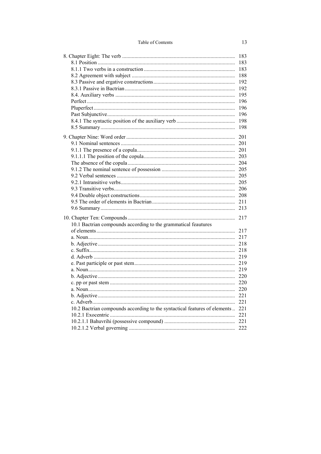|                                                                                | 183 |
|--------------------------------------------------------------------------------|-----|
|                                                                                | 183 |
|                                                                                | 183 |
|                                                                                | 188 |
|                                                                                | 192 |
|                                                                                | 192 |
|                                                                                | 195 |
|                                                                                | 196 |
|                                                                                | 196 |
|                                                                                | 196 |
|                                                                                | 198 |
|                                                                                | 198 |
|                                                                                |     |
|                                                                                |     |
|                                                                                | 201 |
|                                                                                |     |
|                                                                                | 203 |
|                                                                                |     |
|                                                                                |     |
|                                                                                |     |
|                                                                                | 205 |
|                                                                                |     |
|                                                                                |     |
|                                                                                |     |
|                                                                                |     |
|                                                                                |     |
| 10.1 Bactrian compounds according to the grammatical feautures                 |     |
|                                                                                | 217 |
|                                                                                |     |
|                                                                                | 218 |
|                                                                                |     |
|                                                                                | 219 |
|                                                                                |     |
|                                                                                | 219 |
|                                                                                |     |
|                                                                                | 220 |
|                                                                                |     |
|                                                                                |     |
|                                                                                |     |
| 10.2 Bactrian compounds according to the syntactical features of elements  221 |     |
|                                                                                |     |
|                                                                                |     |
|                                                                                |     |
|                                                                                |     |

13